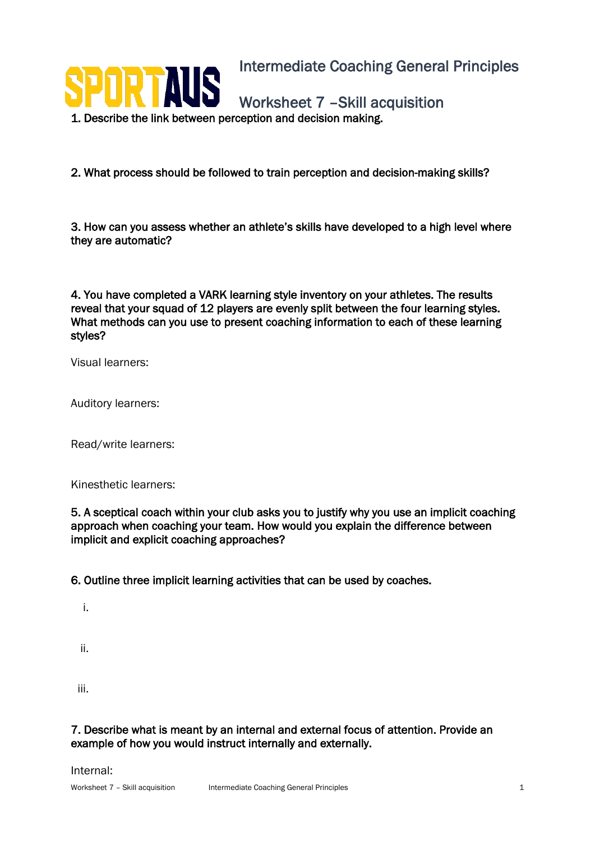

2. What process should be followed to train perception and decision-making skills?

3. How can you assess whether an athlete's skills have developed to a high level where they are automatic?

4. You have completed a VARK learning style inventory on your athletes. The results reveal that your squad of 12 players are evenly split between the four learning styles. What methods can you use to present coaching information to each of these learning styles?

Visual learners:

Auditory learners:

Read/write learners:

Kinesthetic learners:

5. A sceptical coach within your club asks you to justify why you use an implicit coaching approach when coaching your team. How would you explain the difference between implicit and explicit coaching approaches?

6. Outline three implicit learning activities that can be used by coaches.

i.

ii.

iii.

7. Describe what is meant by an internal and external focus of attention. Provide an example of how you would instruct internally and externally.

Internal: